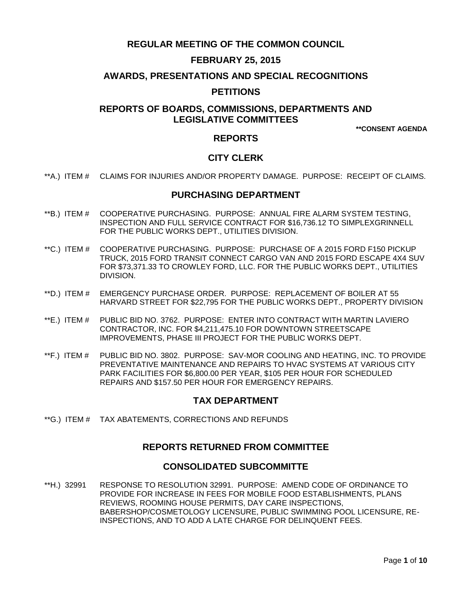# **REGULAR MEETING OF THE COMMON COUNCIL**

# **FEBRUARY 25, 2015**

### **AWARDS, PRESENTATIONS AND SPECIAL RECOGNITIONS**

### **PETITIONS**

# **REPORTS OF BOARDS, COMMISSIONS, DEPARTMENTS AND LEGISLATIVE COMMITTEES**

**\*\*CONSENT AGENDA**

### **REPORTS**

## **CITY CLERK**

\*\*A.) ITEM # [CLAIMS FOR INJURIES AND/OR PROPERTY DAMAGE. PURPOSE: RECEIPT OF CLAIMS.](#page-2-0)

### **PURCHASING DEPARTMENT**

- \*\*B.) ITEM # [COOPERATIVE PURCHASING. PURPOSE: ANNUAL FIRE ALARM SYSTEM TESTING,](#page-2-1)  [INSPECTION AND FULL SERVICE CONTRACT FOR \\$16,736.12 TO SIMPLEXGRINNELL](#page-2-1)  [FOR THE PUBLIC WORKS DEPT., UTILITIES DIVISION.](#page-2-1)
- \*\*C.) ITEM # [COOPERATIVE PURCHASING. PURPOSE: PURCHASE OF A 2015 FORD F150 PICKUP](#page-3-0)  [TRUCK, 2015 FORD TRANSIT CONNECT CARGO VAN AND 2015 FORD ESCAPE 4X4 SUV](#page-3-0)  FOR \$73,371.33 TO CROWLEY FORD, LLC. [FOR THE PUBLIC WORKS DEPT., UTILITIES](#page-3-0)  [DIVISION.](#page-3-0)
- \*\*D.) ITEM # [EMERGENCY PURCHASE ORDER. PURPOSE: REPLACEMENT OF BOILER AT 55](#page-4-0)  [HARVARD STREET FOR \\$22,795 FOR THE PUBLIC WORKS DEPT., PROPERTY DIVISION](#page-4-0)
- \*\*E.) ITEM # [PUBLIC BID NO. 3762. PURPOSE: ENTER INTO CONTRACT WITH MARTIN LAVIERO](#page-4-1)  [CONTRACTOR, INC. FOR \\$4,211,475.10 FOR DOWNTOWN STREETSCAPE](#page-4-1)  [IMPROVEMENTS, PHASE III PROJECT FOR THE PUBLIC WORKS DEPT.](#page-4-1)
- \*\*F.) ITEM # [PUBLIC BID NO. 3802. PURPOSE: SAV-MOR COOLING AND HEATING, INC. TO PROVIDE](#page-5-0)  [PREVENTATIVE MAINTENANCE AND REPAIRS TO](#page-5-0) HVAC SYSTEMS AT VARIOUS CITY [PARK FACILITIES FOR \\$6,800.00 PER YEAR, \\$105 PER HOUR FOR SCHEDULED](#page-5-0)  [REPAIRS AND \\$157.50 PER HOUR FOR EMERGENCY REPAIRS.](#page-5-0)

### **TAX DEPARTMENT**

\*\*G.) ITEM # [TAX ABATEMENTS, CORRECTIONS AND REFUNDS](#page-6-0)

### **REPORTS RETURNED FROM COMMITTEE**

### **CONSOLIDATED SUBCOMMITTE**

\*\*H.) 32991 [RESPONSE TO RESOLUTION 32991. PURPOSE: AMEND CODE OF ORDINANCE TO](#page-6-1)  [PROVIDE FOR INCREASE IN FEES FOR MOBILE FOOD ESTABLISHMENTS, PLANS](#page-6-1)  [REVIEWS, ROOMING HOUSE PERMITS, DAY CARE INSPECTIONS,](#page-6-1)  [BABERSHOP/COSMETOLOGY LICENSURE, PUBLIC SWIMMING POOL LICENSURE, RE-](#page-6-1)[INSPECTIONS, AND TO ADD A LATE CHARGE FOR DELINQUENT FEES.](#page-6-1)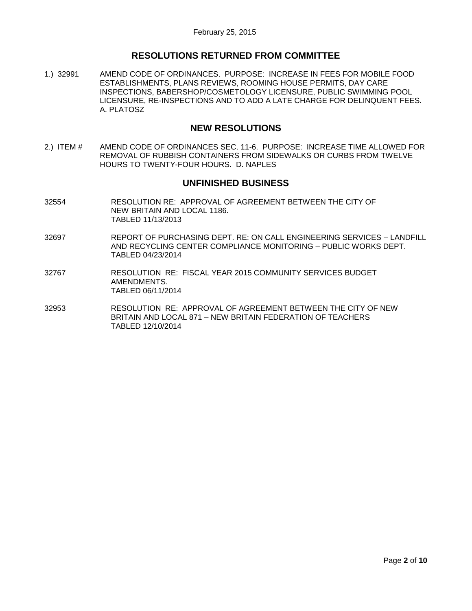# **RESOLUTIONS RETURNED FROM COMMITTEE**

1.) 32991 [AMEND CODE OF ORDINANCES. PURPOSE: INCREASE IN FEES FOR MOBILE FOOD](#page-6-2)  [ESTABLISHMENTS, PLANS REVIEWS, ROOMING HOUSE PERMITS, DAY CARE](#page-6-2)  [INSPECTIONS, BABERSHOP/COSMETOLOGY LICENSURE, PUBLIC SWIMMING](#page-6-2) POOL LICENSURE, RE-INSPECTIONS [AND TO ADD A LATE CHARGE FOR DELINQUENT FEES.](#page-6-2)  [A. PLATOSZ](#page-6-2)

## **NEW RESOLUTIONS**

2.) ITEM # [AMEND CODE OF ORDINANCES SEC. 11-6. PURPOSE: INCREASE TIME ALLOWED FOR](#page-9-0)  [REMOVAL OF RUBBISH CONTAINERS FROM SIDEWALKS OR CURBS FROM TWELVE](#page-9-0)  [HOURS TO TWENTY-FOUR HOURS. D. NAPLES](#page-9-0)

# **UNFINISHED BUSINESS**

- 32554 RESOLUTION RE: APPROVAL OF AGREEMENT BETWEEN THE CITY OF NEW BRITAIN AND LOCAL 1186. TABLED 11/13/2013
- 32697 REPORT OF PURCHASING DEPT. RE: ON CALL ENGINEERING SERVICES LANDFILL AND RECYCLING CENTER COMPLIANCE MONITORING – PUBLIC WORKS DEPT. TABLED 04/23/2014
- 32767 RESOLUTION RE: FISCAL YEAR 2015 COMMUNITY SERVICES BUDGET AMENDMENTS. TABLED 06/11/2014
- 32953 RESOLUTION RE: APPROVAL OF AGREEMENT BETWEEN THE CITY OF NEW BRITAIN AND LOCAL 871 – NEW BRITAIN FEDERATION OF TEACHERS TABLED 12/10/2014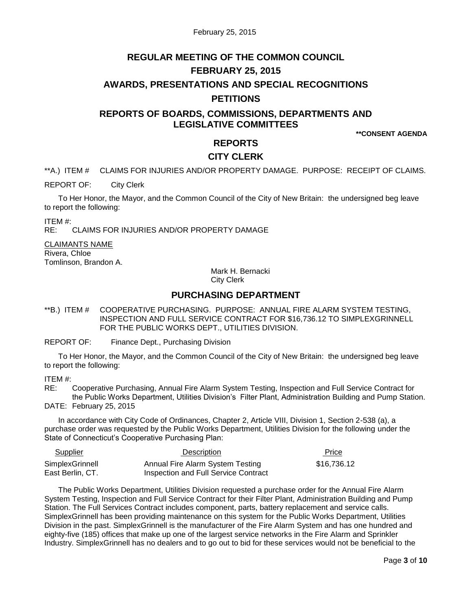# **REGULAR MEETING OF THE COMMON COUNCIL FEBRUARY 25, 2015 AWARDS, PRESENTATIONS AND SPECIAL RECOGNITIONS PETITIONS**

# **REPORTS OF BOARDS, COMMISSIONS, DEPARTMENTS AND LEGISLATIVE COMMITTEES**

**\*\*CONSENT AGENDA**

### **REPORTS**

# **CITY CLERK**

<span id="page-2-0"></span>\*\*A.) ITEM # CLAIMS FOR INJURIES AND/OR PROPERTY DAMAGE. PURPOSE: RECEIPT OF CLAIMS.

REPORT OF: City Clerk

To Her Honor, the Mayor, and the Common Council of the City of New Britain: the undersigned beg leave to report the following:

ITEM #:

RE: CLAIMS FOR INJURIES AND/OR PROPERTY DAMAGE

CLAIMANTS NAME Rivera, Chloe Tomlinson, Brandon A.

Mark H. Bernacki

City Clerk

# **PURCHASING DEPARTMENT**

<span id="page-2-1"></span>\*\*B.) ITEM # COOPERATIVE PURCHASING. PURPOSE: ANNUAL FIRE ALARM SYSTEM TESTING, INSPECTION AND FULL SERVICE CONTRACT FOR \$16,736.12 TO SIMPLEXGRINNELL FOR THE PUBLIC WORKS DEPT., UTILITIES DIVISION.

REPORT OF: Finance Dept., Purchasing Division

To Her Honor, the Mayor, and the Common Council of the City of New Britain: the undersigned beg leave to report the following:

ITEM #:

RE: Cooperative Purchasing, Annual Fire Alarm System Testing, Inspection and Full Service Contract for the Public Works Department, Utilities Division's Filter Plant, Administration Building and Pump Station. DATE: February 25, 2015

In accordance with City Code of Ordinances, Chapter 2, Article VIII, Division 1, Section 2-538 (a), a purchase order was requested by the Public Works Department, Utilities Division for the following under the State of Connecticut's Cooperative Purchasing Plan:

| <b>Supplier</b>  | Description                          | Price       |  |
|------------------|--------------------------------------|-------------|--|
| SimplexGrinnell  | Annual Fire Alarm System Testing     | \$16,736.12 |  |
| East Berlin, CT. | Inspection and Full Service Contract |             |  |

The Public Works Department, Utilities Division requested a purchase order for the Annual Fire Alarm System Testing, Inspection and Full Service Contract for their Filter Plant, Administration Building and Pump Station. The Full Services Contract includes component, parts, battery replacement and service calls. SimplexGrinnell has been providing maintenance on this system for the Public Works Department, Utilities Division in the past. SimplexGrinnell is the manufacturer of the Fire Alarm System and has one hundred and eighty-five (185) offices that make up one of the largest service networks in the Fire Alarm and Sprinkler Industry. SimplexGrinnell has no dealers and to go out to bid for these services would not be beneficial to the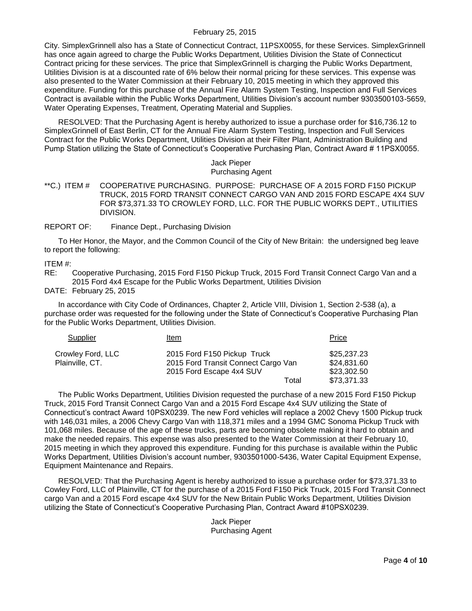City. SimplexGrinnell also has a State of Connecticut Contract, 11PSX0055, for these Services. SimplexGrinnell has once again agreed to charge the Public Works Department, Utilities Division the State of Connecticut Contract pricing for these services. The price that SimplexGrinnell is charging the Public Works Department, Utilities Division is at a discounted rate of 6% below their normal pricing for these services. This expense was also presented to the Water Commission at their February 10, 2015 meeting in which they approved this expenditure. Funding for this purchase of the Annual Fire Alarm System Testing, Inspection and Full Services Contract is available within the Public Works Department, Utilities Division's account number 9303500103-5659, Water Operating Expenses, Treatment, Operating Material and Supplies.

RESOLVED: That the Purchasing Agent is hereby authorized to issue a purchase order for \$16,736.12 to SimplexGrinnell of East Berlin, CT for the Annual Fire Alarm System Testing, Inspection and Full Services Contract for the Public Works Department, Utilities Division at their Filter Plant, Administration Building and Pump Station utilizing the State of Connecticut's Cooperative Purchasing Plan, Contract Award # 11PSX0055.

#### Jack Pieper Purchasing Agent

<span id="page-3-0"></span>\*\*C.) ITEM # COOPERATIVE PURCHASING. PURPOSE: PURCHASE OF A 2015 FORD F150 PICKUP TRUCK, 2015 FORD TRANSIT CONNECT CARGO VAN AND 2015 FORD ESCAPE 4X4 SUV FOR \$73,371.33 TO CROWLEY FORD, LLC. FOR THE PUBLIC WORKS DEPT., UTILITIES DIVISION.

REPORT OF: Finance Dept., Purchasing Division

To Her Honor, the Mayor, and the Common Council of the City of New Britain: the undersigned beg leave to report the following:

ITEM #:

RE: Cooperative Purchasing, 2015 Ford F150 Pickup Truck, 2015 Ford Transit Connect Cargo Van and a 2015 Ford 4x4 Escape for the Public Works Department, Utilities Division

DATE: February 25, 2015

In accordance with City Code of Ordinances, Chapter 2, Article VIII, Division 1, Section 2-538 (a), a purchase order was requested for the following under the State of Connecticut's Cooperative Purchasing Plan for the Public Works Department, Utilities Division.

| Supplier          | Item                                | Price       |
|-------------------|-------------------------------------|-------------|
| Crowley Ford, LLC | 2015 Ford F150 Pickup Truck         | \$25,237.23 |
| Plainville, CT.   | 2015 Ford Transit Connect Cargo Van | \$24,831.60 |
|                   | 2015 Ford Escape 4x4 SUV            | \$23,302.50 |
|                   | Total                               | \$73,371.33 |

The Public Works Department, Utilities Division requested the purchase of a new 2015 Ford F150 Pickup Truck, 2015 Ford Transit Connect Cargo Van and a 2015 Ford Escape 4x4 SUV utilizing the State of Connecticut's contract Award 10PSX0239. The new Ford vehicles will replace a 2002 Chevy 1500 Pickup truck with 146,031 miles, a 2006 Chevy Cargo Van with 118,371 miles and a 1994 GMC Sonoma Pickup Truck with 101,068 miles. Because of the age of these trucks, parts are becoming obsolete making it hard to obtain and make the needed repairs. This expense was also presented to the Water Commission at their February 10, 2015 meeting in which they approved this expenditure. Funding for this purchase is available within the Public Works Department, Utilities Division's account number, 9303501000-5436, Water Capital Equipment Expense, Equipment Maintenance and Repairs.

RESOLVED: That the Purchasing Agent is hereby authorized to issue a purchase order for \$73,371.33 to Cowley Ford, LLC of Plainville, CT for the purchase of a 2015 Ford F150 Pick Truck, 2015 Ford Transit Connect cargo Van and a 2015 Ford escape 4x4 SUV for the New Britain Public Works Department, Utilities Division utilizing the State of Connecticut's Cooperative Purchasing Plan, Contract Award #10PSX0239.

> Jack Pieper Purchasing Agent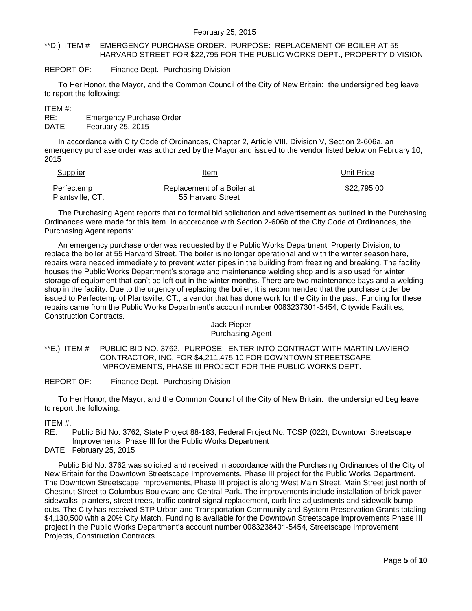#### <span id="page-4-0"></span>\*\*D.) ITEM # EMERGENCY PURCHASE ORDER. PURPOSE: REPLACEMENT OF BOILER AT 55 HARVARD STREET FOR \$22,795 FOR THE PUBLIC WORKS DEPT., PROPERTY DIVISION

#### REPORT OF: Finance Dept., Purchasing Division

To Her Honor, the Mayor, and the Common Council of the City of New Britain: the undersigned beg leave to report the following:

ITEM #:

RE: Emergency Purchase Order DATE: February 25, 2015

In accordance with City Code of Ordinances, Chapter 2, Article VIII, Division V, Section 2-606a, an emergency purchase order was authorized by the Mayor and issued to the vendor listed below on February 10, 2015

| Supplier         | Item<br>$\sim$ $\sim$      | Unit Price  |
|------------------|----------------------------|-------------|
| Perfectemp       | Replacement of a Boiler at | \$22.795.00 |
| Plantsville, CT. | 55 Harvard Street          |             |

The Purchasing Agent reports that no formal bid solicitation and advertisement as outlined in the Purchasing Ordinances were made for this item. In accordance with Section 2-606b of the City Code of Ordinances, the Purchasing Agent reports:

An emergency purchase order was requested by the Public Works Department, Property Division, to replace the boiler at 55 Harvard Street. The boiler is no longer operational and with the winter season here, repairs were needed immediately to prevent water pipes in the building from freezing and breaking. The facility houses the Public Works Department's storage and maintenance welding shop and is also used for winter storage of equipment that can't be left out in the winter months. There are two maintenance bays and a welding shop in the facility. Due to the urgency of replacing the boiler, it is recommended that the purchase order be issued to Perfectemp of Plantsville, CT., a vendor that has done work for the City in the past. Funding for these repairs came from the Public Works Department's account number 0083237301-5454, Citywide Facilities, Construction Contracts.

#### Jack Pieper Purchasing Agent

<span id="page-4-1"></span>\*\*E.) ITEM # PUBLIC BID NO. 3762. PURPOSE: ENTER INTO CONTRACT WITH MARTIN LAVIERO CONTRACTOR, INC. FOR \$4,211,475.10 FOR DOWNTOWN STREETSCAPE IMPROVEMENTS, PHASE III PROJECT FOR THE PUBLIC WORKS DEPT.

REPORT OF: Finance Dept., Purchasing Division

To Her Honor, the Mayor, and the Common Council of the City of New Britain: the undersigned beg leave to report the following:

#### ITEM #:

RE: Public Bid No. 3762, State Project 88-183, Federal Project No. TCSP (022), Downtown Streetscape Improvements, Phase III for the Public Works Department

DATE: February 25, 2015

Public Bid No. 3762 was solicited and received in accordance with the Purchasing Ordinances of the City of New Britain for the Downtown Streetscape Improvements, Phase III project for the Public Works Department. The Downtown Streetscape Improvements, Phase III project is along West Main Street, Main Street just north of Chestnut Street to Columbus Boulevard and Central Park. The improvements include installation of brick paver sidewalks, planters, street trees, traffic control signal replacement, curb line adjustments and sidewalk bump outs. The City has received STP Urban and Transportation Community and System Preservation Grants totaling \$4,130,500 with a 20% City Match. Funding is available for the Downtown Streetscape Improvements Phase III project in the Public Works Department's account number 0083238401-5454, Streetscape Improvement Projects, Construction Contracts.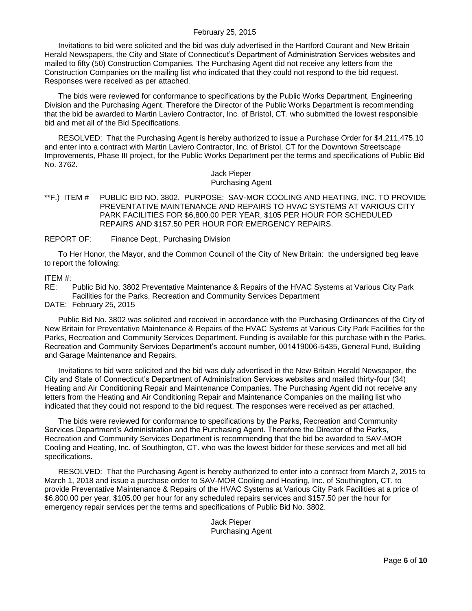Invitations to bid were solicited and the bid was duly advertised in the Hartford Courant and New Britain Herald Newspapers, the City and State of Connecticut's Department of Administration Services websites and mailed to fifty (50) Construction Companies. The Purchasing Agent did not receive any letters from the Construction Companies on the mailing list who indicated that they could not respond to the bid request. Responses were received as per attached.

The bids were reviewed for conformance to specifications by the Public Works Department, Engineering Division and the Purchasing Agent. Therefore the Director of the Public Works Department is recommending that the bid be awarded to Martin Laviero Contractor, Inc. of Bristol, CT. who submitted the lowest responsible bid and met all of the Bid Specifications.

RESOLVED: That the Purchasing Agent is hereby authorized to issue a Purchase Order for \$4,211,475.10 and enter into a contract with Martin Laviero Contractor, Inc. of Bristol, CT for the Downtown Streetscape Improvements, Phase III project, for the Public Works Department per the terms and specifications of Public Bid No. 3762.

> Jack Pieper Purchasing Agent

<span id="page-5-0"></span>\*\*F.) ITEM # PUBLIC BID NO. 3802. PURPOSE: SAV-MOR COOLING AND HEATING, INC. TO PROVIDE PREVENTATIVE MAINTENANCE AND REPAIRS TO HVAC SYSTEMS AT VARIOUS CITY PARK FACILITIES FOR \$6,800.00 PER YEAR, \$105 PER HOUR FOR SCHEDULED REPAIRS AND \$157.50 PER HOUR FOR EMERGENCY REPAIRS.

REPORT OF: Finance Dept., Purchasing Division

To Her Honor, the Mayor, and the Common Council of the City of New Britain: the undersigned beg leave to report the following:

ITEM #:

RE: Public Bid No. 3802 Preventative Maintenance & Repairs of the HVAC Systems at Various City Park Facilities for the Parks, Recreation and Community Services Department

DATE: February 25, 2015

Public Bid No. 3802 was solicited and received in accordance with the Purchasing Ordinances of the City of New Britain for Preventative Maintenance & Repairs of the HVAC Systems at Various City Park Facilities for the Parks, Recreation and Community Services Department. Funding is available for this purchase within the Parks, Recreation and Community Services Department's account number, 001419006-5435, General Fund, Building and Garage Maintenance and Repairs.

Invitations to bid were solicited and the bid was duly advertised in the New Britain Herald Newspaper, the City and State of Connecticut's Department of Administration Services websites and mailed thirty-four (34) Heating and Air Conditioning Repair and Maintenance Companies. The Purchasing Agent did not receive any letters from the Heating and Air Conditioning Repair and Maintenance Companies on the mailing list who indicated that they could not respond to the bid request. The responses were received as per attached.

The bids were reviewed for conformance to specifications by the Parks, Recreation and Community Services Department's Administration and the Purchasing Agent. Therefore the Director of the Parks, Recreation and Community Services Department is recommending that the bid be awarded to SAV-MOR Cooling and Heating, Inc. of Southington, CT. who was the lowest bidder for these services and met all bid specifications.

RESOLVED: That the Purchasing Agent is hereby authorized to enter into a contract from March 2, 2015 to March 1, 2018 and issue a purchase order to SAV-MOR Cooling and Heating, Inc. of Southington, CT. to provide Preventative Maintenance & Repairs of the HVAC Systems at Various City Park Facilities at a price of \$6,800.00 per year, \$105.00 per hour for any scheduled repairs services and \$157.50 per the hour for emergency repair services per the terms and specifications of Public Bid No. 3802.

> Jack Pieper Purchasing Agent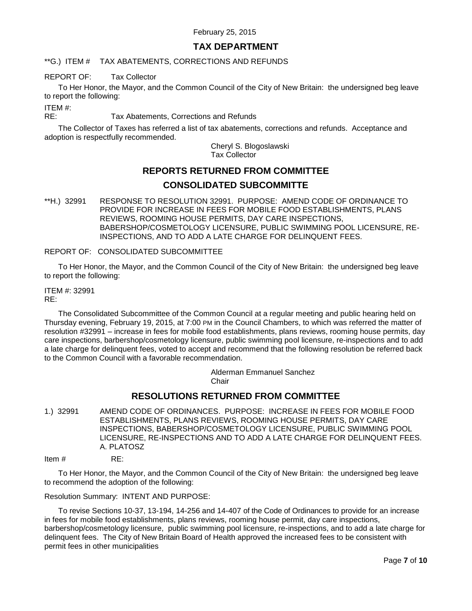# **TAX DEPARTMENT**

<span id="page-6-0"></span>\*\*G.) ITEM # TAX ABATEMENTS, CORRECTIONS AND REFUNDS

### REPORT OF: Tax Collector

To Her Honor, the Mayor, and the Common Council of the City of New Britain: the undersigned beg leave to report the following:

ITEM #:

RE: Tax Abatements, Corrections and Refunds

The Collector of Taxes has referred a list of tax abatements, corrections and refunds. Acceptance and adoption is respectfully recommended.

> Cheryl S. Blogoslawski Tax Collector

# **REPORTS RETURNED FROM COMMITTEE CONSOLIDATED SUBCOMMITTE**

<span id="page-6-1"></span>\*\*H.) 32991 RESPONSE TO RESOLUTION 32991. PURPOSE: AMEND CODE OF ORDINANCE TO PROVIDE FOR INCREASE IN FEES FOR MOBILE FOOD ESTABLISHMENTS, PLANS REVIEWS, ROOMING HOUSE PERMITS, DAY CARE INSPECTIONS, BABERSHOP/COSMETOLOGY LICENSURE, PUBLIC SWIMMING POOL LICENSURE, RE-INSPECTIONS, AND TO ADD A LATE CHARGE FOR DELINQUENT FEES.

REPORT OF: CONSOLIDATED SUBCOMMITTEE

To Her Honor, the Mayor, and the Common Council of the City of New Britain: the undersigned beg leave to report the following:

ITEM #: 32991 RE:

The Consolidated Subcommittee of the Common Council at a regular meeting and public hearing held on Thursday evening, February 19, 2015, at 7:00 PM in the Council Chambers, to which was referred the matter of resolution #32991 – increase in fees for mobile food establishments, plans reviews, rooming house permits, day care inspections, barbershop/cosmetology licensure, public swimming pool licensure, re-inspections and to add a late charge for delinquent fees, voted to accept and recommend that the following resolution be referred back to the Common Council with a favorable recommendation.

> Alderman Emmanuel Sanchez Chair

# **RESOLUTIONS RETURNED FROM COMMITTEE**

- <span id="page-6-2"></span>1.) 32991 AMEND CODE OF ORDINANCES. PURPOSE: INCREASE IN FEES FOR MOBILE FOOD ESTABLISHMENTS, PLANS REVIEWS, ROOMING HOUSE PERMITS, DAY CARE INSPECTIONS, BABERSHOP/COSMETOLOGY LICENSURE, PUBLIC SWIMMING POOL LICENSURE, RE-INSPECTIONS AND TO ADD A LATE CHARGE FOR DELINQUENT FEES. A. PLATOSZ
- Item # RE:

To Her Honor, the Mayor, and the Common Council of the City of New Britain: the undersigned beg leave to recommend the adoption of the following:

Resolution Summary: INTENT AND PURPOSE:

To revise Sections 10-37, 13-194, 14-256 and 14-407 of the Code of Ordinances to provide for an increase in fees for mobile food establishments, plans reviews, rooming house permit, day care inspections, barbershop/cosmetology licensure, public swimming pool licensure, re-inspections, and to add a late charge for delinquent fees. The City of New Britain Board of Health approved the increased fees to be consistent with permit fees in other municipalities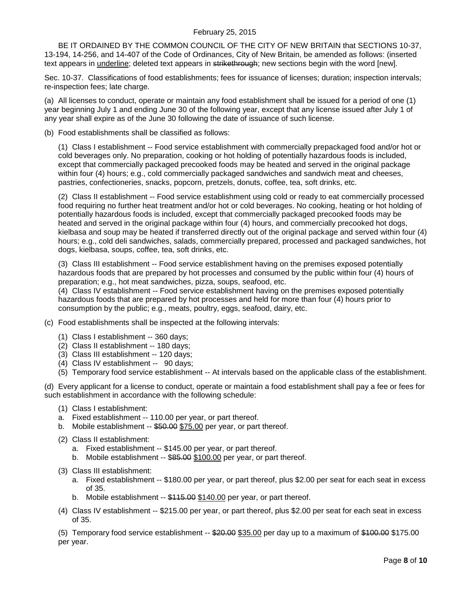BE IT ORDAINED BY THE COMMON COUNCIL OF THE CITY OF NEW BRITAIN that SECTIONS 10-37, 13-194, 14-256, and 14-407 of the Code of Ordinances, City of New Britain, be amended as follows: (inserted text appears in underline; deleted text appears in strikethrough; new sections begin with the word [new].

Sec. 10-37. Classifications of food establishments; fees for issuance of licenses; duration; inspection intervals; re-inspection fees; late charge.

(a) All licenses to conduct, operate or maintain any food establishment shall be issued for a period of one (1) year beginning July 1 and ending June 30 of the following year, except that any license issued after July 1 of any year shall expire as of the June 30 following the date of issuance of such license.

(b) Food establishments shall be classified as follows:

(1) Class I establishment -- Food service establishment with commercially prepackaged food and/or hot or cold beverages only. No preparation, cooking or hot holding of potentially hazardous foods is included, except that commercially packaged precooked foods may be heated and served in the original package within four (4) hours; e.g., cold commercially packaged sandwiches and sandwich meat and cheeses, pastries, confectioneries, snacks, popcorn, pretzels, donuts, coffee, tea, soft drinks, etc.

(2) Class II establishment -- Food service establishment using cold or ready to eat commercially processed food requiring no further heat treatment and/or hot or cold beverages. No cooking, heating or hot holding of potentially hazardous foods is included, except that commercially packaged precooked foods may be heated and served in the original package within four (4) hours, and commercially precooked hot dogs, kielbasa and soup may be heated if transferred directly out of the original package and served within four (4) hours; e.g., cold deli sandwiches, salads, commercially prepared, processed and packaged sandwiches, hot dogs, kielbasa, soups, coffee, tea, soft drinks, etc.

(3) Class III establishment -- Food service establishment having on the premises exposed potentially hazardous foods that are prepared by hot processes and consumed by the public within four (4) hours of preparation; e.g., hot meat sandwiches, pizza, soups, seafood, etc.

(4) Class IV establishment -- Food service establishment having on the premises exposed potentially hazardous foods that are prepared by hot processes and held for more than four (4) hours prior to consumption by the public; e.g., meats, poultry, eggs, seafood, dairy, etc.

- (c) Food establishments shall be inspected at the following intervals:
	- (1) Class I establishment -- 360 days;
	- (2) Class II establishment -- 180 days;
	- (3) Class III establishment -- 120 days;
	- (4) Class IV establishment -- 90 days;
	- (5) Temporary food service establishment -- At intervals based on the applicable class of the establishment.

(d) Every applicant for a license to conduct, operate or maintain a food establishment shall pay a fee or fees for such establishment in accordance with the following schedule:

- (1) Class I establishment:
- a. Fixed establishment -- 110.00 per year, or part thereof.
- b. Mobile establishment -- \$50.00 \$75.00 per year, or part thereof.
- (2) Class II establishment:
	- a. Fixed establishment -- \$145.00 per year, or part thereof.
	- b. Mobile establishment -- \$85.00 \$100.00 per year, or part thereof.
- (3) Class III establishment:
	- a. Fixed establishment -- \$180.00 per year, or part thereof, plus \$2.00 per seat for each seat in excess of 35.
	- b. Mobile establishment -- \$115.00 \$140.00 per year, or part thereof.
- (4) Class IV establishment -- \$215.00 per year, or part thereof, plus \$2.00 per seat for each seat in excess of 35.

(5) Temporary food service establishment  $-$  \$20.00 \$35.00 per day up to a maximum of \$100.00 \$175.00 per year.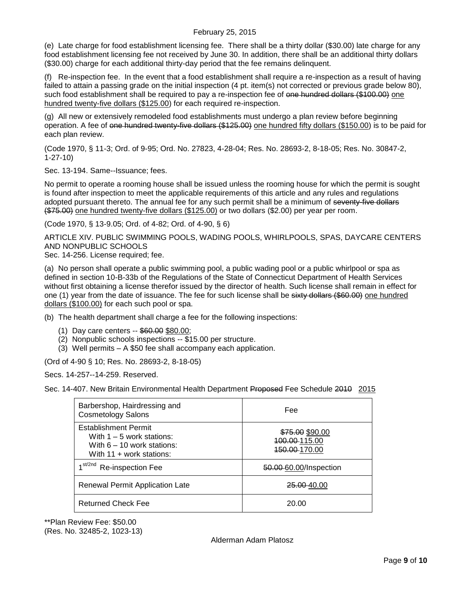(e) Late charge for food establishment licensing fee. There shall be a thirty dollar (\$30.00) late charge for any food establishment licensing fee not received by June 30. In addition, there shall be an additional thirty dollars (\$30.00) charge for each additional thirty-day period that the fee remains delinquent.

(f) Re-inspection fee. In the event that a food establishment shall require a re-inspection as a result of having failed to attain a passing grade on the initial inspection (4 pt. item(s) not corrected or previous grade below 80), such food establishment shall be required to pay a re-inspection fee of one hundred dollars (\$100.00) one hundred twenty-five dollars (\$125.00) for each required re-inspection.

(g) All new or extensively remodeled food establishments must undergo a plan review before beginning operation. A fee of one hundred twenty-five dollars (\$125.00) one hundred fifty dollars (\$150.00) is to be paid for each plan review.

(Code 1970, § 11-3; Ord. of 9-95; Ord. No. 27823, 4-28-04; Res. No. 28693-2, 8-18-05; Res. No. 30847-2, 1-27-10)

Sec. 13-194. Same--Issuance; fees.

No permit to operate a rooming house shall be issued unless the rooming house for which the permit is sought is found after inspection to meet the applicable requirements of this article and any rules and regulations adopted pursuant thereto. The annual fee for any such permit shall be a minimum of seventy-five dollars (\$75.00) one hundred twenty-five dollars (\$125.00) or two dollars (\$2.00) per year per room.

(Code 1970, § 13-9.05; Ord. of 4-82; Ord. of 4-90, § 6)

ARTICLE XIV. PUBLIC SWIMMING POOLS, WADING POOLS, WHIRLPOOLS, SPAS, DAYCARE CENTERS AND NONPUBLIC SCHOOLS

Sec. 14-256. License required; fee.

(a) No person shall operate a public swimming pool, a public wading pool or a public whirlpool or spa as defined in section 10-B-33b of the Regulations of the State of Connecticut Department of Health Services without first obtaining a license therefor issued by the director of health. Such license shall remain in effect for one (1) year from the date of issuance. The fee for such license shall be sixty dollars (\$60.00) one hundred dollars (\$100.00) for each such pool or spa.

(b) The health department shall charge a fee for the following inspections:

- (1) Day care centers -- \$60.00 \$80.00;
- (2) Nonpublic schools inspections -- \$15.00 per structure.
- (3) Well permits A \$50 fee shall accompany each application.

(Ord of 4-90 § 10; Res. No. 28693-2, 8-18-05)

Secs. 14-257--14-259. Reserved.

Sec. 14-407. New Britain Environmental Health Department Proposed Fee Schedule 2010 2015

| Barbershop, Hairdressing and<br><b>Cosmetology Salons</b>                                                                | Fee                                                           |  |
|--------------------------------------------------------------------------------------------------------------------------|---------------------------------------------------------------|--|
| <b>Establishment Permit</b><br>With $1 - 5$ work stations:<br>With $6 - 10$ work stations:<br>With $11 +$ work stations: | \$75.00 \$90.00<br>400.00 115.00<br><del>150.00 1</del> 70.00 |  |
| $\lambda$ st/2nd<br>Re-inspection Fee                                                                                    | 50.00 60.00/Inspection                                        |  |
| Renewal Permit Application Late                                                                                          | <del>25.00 4</del> 0.00                                       |  |
| <b>Returned Check Fee</b>                                                                                                | 20.00                                                         |  |

\*\*Plan Review Fee: \$50.00 (Res. No. 32485-2, 1023-13)

#### Alderman Adam Platosz